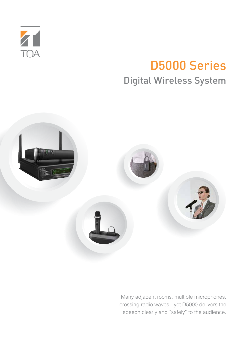

## D5000 Series Digital Wireless System



Many adjacent rooms, multiple microphones, crossing radio waves - yet D5000 delivers the speech clearly and "safely" to the audience.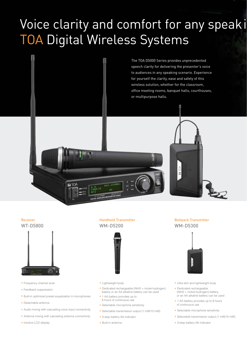# Voice clarity and comfort for any speaki TOA Digital Wireless Systems









- Frequency channel scan
- Feedback suppression
- Built-in optimized preset equalization in microphones

**ET TOA** 

- Detachable antenna
- Audio mixing with cascading voice input connectivity
- Antenna mixing with cascading antenna connectivity
- Intuitive LCD display

Handheld Transmitter WM-D5200



- Lightweight body
- Dedicated rechargeable (NiH2 = nickel-hydrogen) battery or an AA alkaline battery can be used
- 1 AA battery provides up to 8 hours of continuous use
- Selectable microphone sensitivity
- Selectable transmission output (1 mW/10 mW)
- 3-step battery life indicator
- Built-in antenna

Beltpack Transmitter WM-D5300



- Ultra slim and lightweight body
- Dedicated rechargeable (NiH2 = nickel-hydrogen) battery or an AA alkaline battery can be used
- 1 AA battery provides up to 8 hours of continuous use
- Selectable microphone sensitivity
- Selectable transmission output (1 mW/10 mW)
- 3-step battery life indicator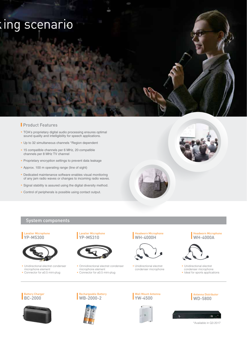# king scenario

### **Product Features**

- TOA's proprietary digital audio processing ensures optimal sound quality and intelligibility for speech applications.
- Up to 32 simultaneous channels \*Region dependent
- 15 compatible channels per 6 MHz, 20 compatible channels per 8 MHz TV channel
- Proprietary encryption settings to prevent data leakage
- Approx. 100 m operating range (line of sight)
- Dedicated maintenance software enables visual monitoring of any jam radio waves or changes to incoming radio waves.
- Signal stability is assured using the digital diversity method.
- Control of peripherals is possible using contact output.



### System components

#### Lavalier Microphone YP-M5300



• Unidirectional electret condenser microphone element Connector for ø3.5 mini-plug





• Omnidirectional electret condenser microphone element • Connector for ø3.5 mini-plug

Headworn Microphone WH-4000H



• Unidirectional electret condenser microphone Headworn Microphone WH-4000A



- Unidirectional electret condenser microphone
- Ideal for sports applications

Antenna Distributor WD-5800

#### Battery Charger BC-2000







Wall Mount Antenna YW-4500



\*Available in Q3 2017